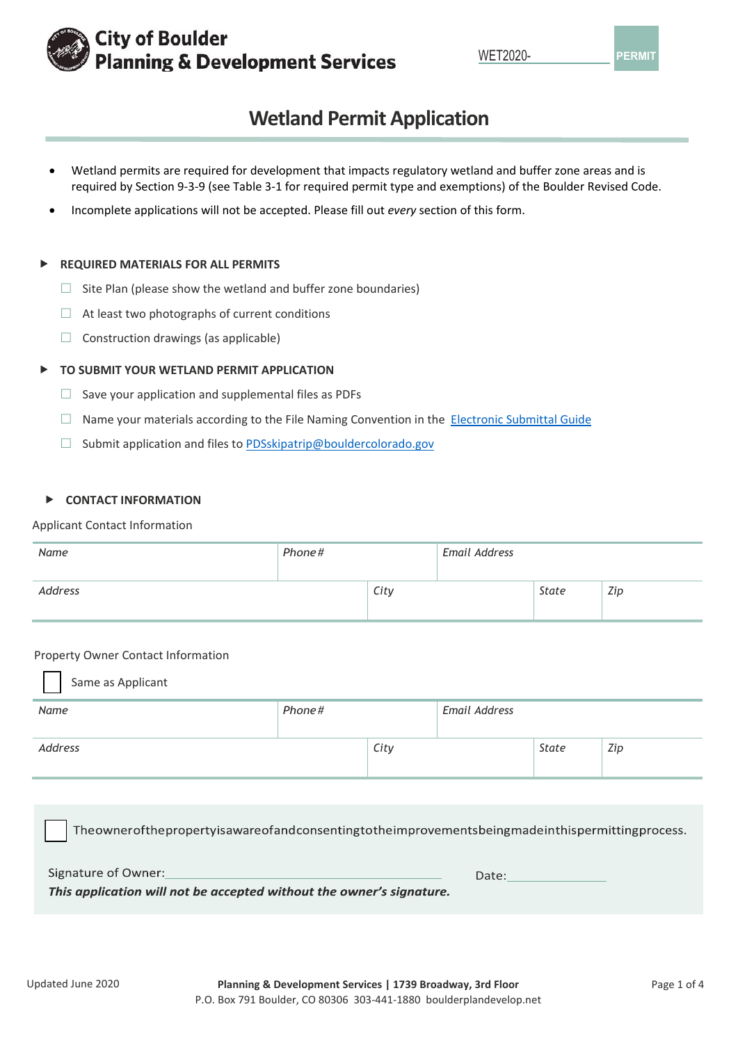# WET2020-

# **Wetland Permit Application**

- Wetland permits are required for development that impacts regulatory wetland and buffer zone areas and is required by Section 9-3-9 (see Table 3-1 for required permit type and exemptions) of the Boulder Revised Code.
- Incomplete applications will not be accepted. Please fill out *every* section of this form.

#### **REQUIRED MATERIALS FOR ALL PERMITS**

**City of Boulder** 

 $\Box$  Site Plan (please show the wetland and buffer zone boundaries)

**Planning & Development Services** 

- $\Box$  At least two photographs of current conditions
- $\Box$  Construction drawings (as applicable)

#### **TO SUBMIT YOUR WETLAND PERMIT APPLICATION**

- $\Box$  Save your application and supplemental files as PDFs
- $\Box$  Name your materials according to the File Naming Convention in the [Electronic Submittal Guide](https://www-static.bouldercolorado.gov/docs/PMT_Electronic_Submittal_Requirements-1-202003271059.pdf?_ga=2.106908230.492486372.1592842331-674214097.1592842331)
- $\Box$  Submit application and files t[o PDSskipatrip@bouldercolorado.gov](mailto:PDSskipatrip@bouldercolorado.gov)

#### **CONTACT INFORMATION**

#### Applicant Contact Information

| <b>Name</b> | Phone# |      | Email Address |       |     |
|-------------|--------|------|---------------|-------|-----|
| Address     |        | City |               | State | Zip |

#### Property Owner Contact Information

| Same as Applicant |        |      |               |       |     |
|-------------------|--------|------|---------------|-------|-----|
| Name              | Phone# |      | Email Address |       |     |
| Address           |        | City |               | State | Zip |

| Theowner of the property is a ware of and consenting to the improvements being made in this permitting process. |                     |       |  |
|-----------------------------------------------------------------------------------------------------------------|---------------------|-------|--|
|                                                                                                                 |                     |       |  |
|                                                                                                                 | Signature of Owner: | Date: |  |

This application will not be accepted without the owner's signature.

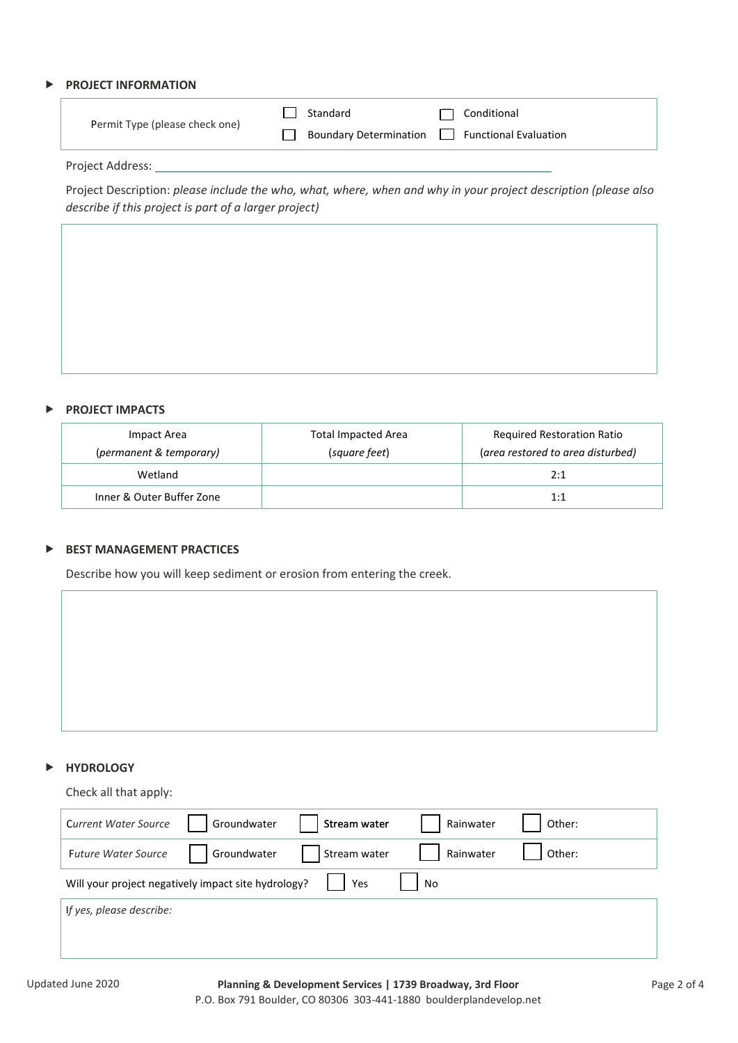## **PROJECT INFORMATION**

| Permit Type (please check one) | Standard | Conditional                                           |
|--------------------------------|----------|-------------------------------------------------------|
|                                |          | Boundary Determination <b>D</b> Functional Evaluation |

Project Address:

Project Description: *please include the who, what, where, when and why in your project description (please also describe if this project is part of a larger project)* 

#### **PROJECT IMPACTS**

| Impact Area<br>(permanent & temporary) | <b>Total Impacted Area</b><br>(square feet) | <b>Required Restoration Ratio</b><br>(area restored to area disturbed) |
|----------------------------------------|---------------------------------------------|------------------------------------------------------------------------|
| Wetland                                |                                             | 2:1                                                                    |
| Inner & Outer Buffer Zone              |                                             | 1:1                                                                    |

#### **BEST MANAGEMENT PRACTICES**

Describe how you will keep sediment or erosion from entering the creek.

## **HYDROLOGY**

Check all that apply:

| <b>Current Water Source</b>                         | Groundwater | Stream water | Rainwater | Other: |  |
|-----------------------------------------------------|-------------|--------------|-----------|--------|--|
| Future Water Source                                 | Groundwater | Stream water | Rainwater | Other: |  |
| Will your project negatively impact site hydrology? |             | Yes          | No        |        |  |
| If yes, please describe:                            |             |              |           |        |  |
|                                                     |             |              |           |        |  |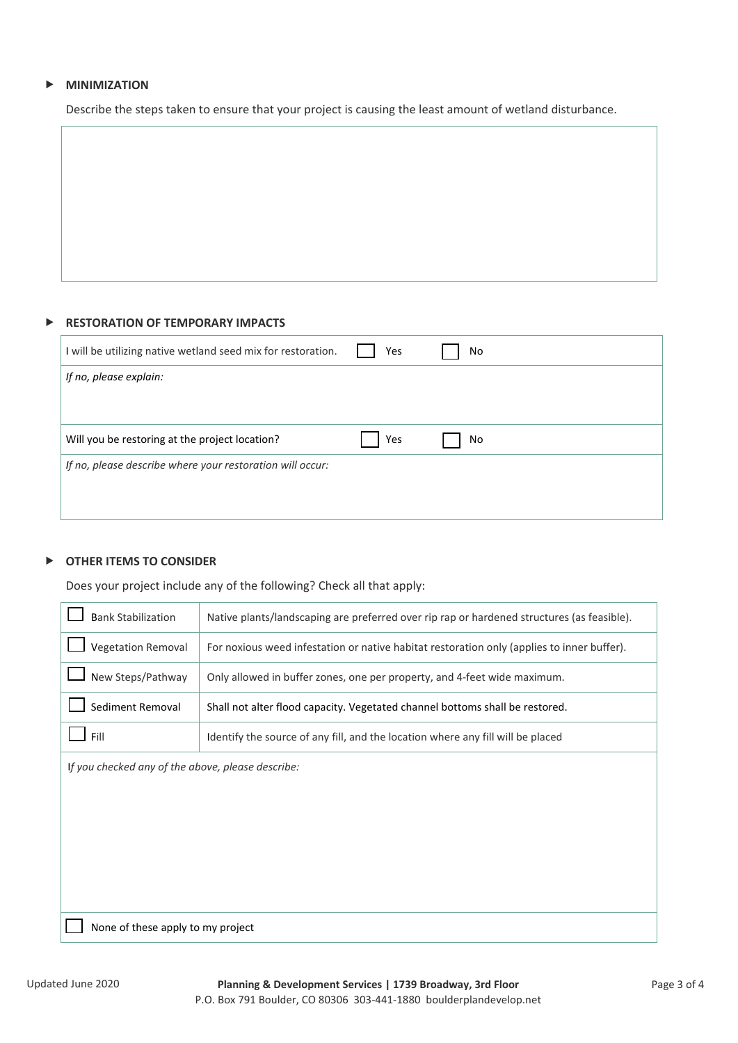#### **MINIMIZATION**

Describe the steps taken to ensure that your project is causing the least amount of wetland disturbance.

# **RESTORATION OF TEMPORARY IMPACTS**

| I will be utilizing native wetland seed mix for restoration. | Yes | No |
|--------------------------------------------------------------|-----|----|
| If no, please explain:                                       |     |    |
|                                                              |     |    |
| Will you be restoring at the project location?               | Yes | No |
| If no, please describe where your restoration will occur:    |     |    |
|                                                              |     |    |
|                                                              |     |    |

# **OTHER ITEMS TO CONSIDER**

Does your project include any of the following? Check all that apply:

| <b>Bank Stabilization</b>                         | Native plants/landscaping are preferred over rip rap or hardened structures (as feasible). |
|---------------------------------------------------|--------------------------------------------------------------------------------------------|
| <b>Vegetation Removal</b>                         | For noxious weed infestation or native habitat restoration only (applies to inner buffer). |
| New Steps/Pathway                                 | Only allowed in buffer zones, one per property, and 4-feet wide maximum.                   |
| Sediment Removal                                  | Shall not alter flood capacity. Vegetated channel bottoms shall be restored.               |
| Fill                                              | Identify the source of any fill, and the location where any fill will be placed            |
| If you checked any of the above, please describe: |                                                                                            |
|                                                   |                                                                                            |

None of these apply to my project